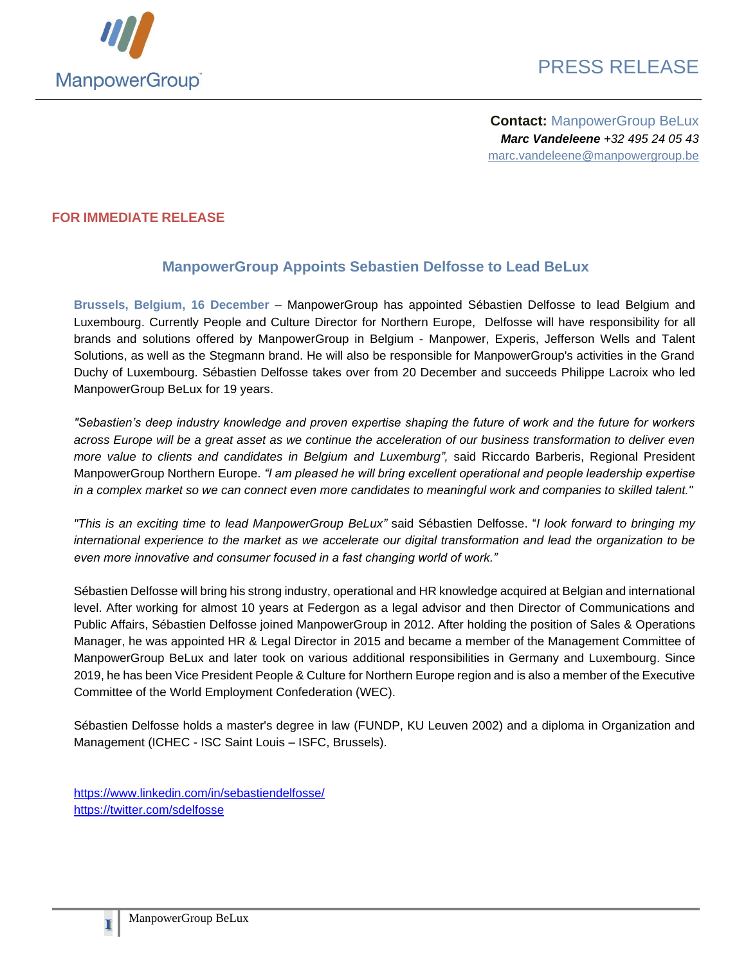

**Contact:** ManpowerGroup BeLux *Marc Vandeleene +32 495 24 05 43* marc.vandeleene@manpowergroup.be

## **FOR IMMEDIATE RELEASE**

## **ManpowerGroup Appoints Sebastien Delfosse to Lead BeLux**

**Brussels, Belgium, 16 December** – ManpowerGroup has appointed Sébastien Delfosse to lead Belgium and Luxembourg. Currently People and Culture Director for Northern Europe, Delfosse will have responsibility for all brands and solutions offered by ManpowerGroup in Belgium - Manpower, Experis, Jefferson Wells and Talent Solutions, as well as the Stegmann brand. He will also be responsible for ManpowerGroup's activities in the Grand Duchy of Luxembourg. Sébastien Delfosse takes over from 20 December and succeeds Philippe Lacroix who led ManpowerGroup BeLux for 19 years.

*"Sebastien's deep industry knowledge and proven expertise shaping the future of work and the future for workers across Europe will be a great asset as we continue the acceleration of our business transformation to deliver even more value to clients and candidates in Belgium and Luxemburg",* said Riccardo Barberis, Regional President ManpowerGroup Northern Europe. *"I am pleased he will bring excellent operational and people leadership expertise in a complex market so we can connect even more candidates to meaningful work and companies to skilled talent."* 

*"This is an exciting time to lead ManpowerGroup BeLux"* said Sébastien Delfosse. "*I look forward to bringing my international experience to the market as we accelerate our digital transformation and lead the organization to be even more innovative and consumer focused in a fast changing world of work."*

Sébastien Delfosse will bring his strong industry, operational and HR knowledge acquired at Belgian and international level. After working for almost 10 years at Federgon as a legal advisor and then Director of Communications and Public Affairs, Sébastien Delfosse joined ManpowerGroup in 2012. After holding the position of Sales & Operations Manager, he was appointed HR & Legal Director in 2015 and became a member of the Management Committee of ManpowerGroup BeLux and later took on various additional responsibilities in Germany and Luxembourg. Since 2019, he has been Vice President People & Culture for Northern Europe region and is also a member of the Executive Committee of the World Employment Confederation (WEC).

Sébastien Delfosse holds a master's degree in law (FUNDP, KU Leuven 2002) and a diploma in Organization and Management (ICHEC - ISC Saint Louis – ISFC, Brussels).

<https://www.linkedin.com/in/sebastiendelfosse/> <https://twitter.com/sdelfosse>